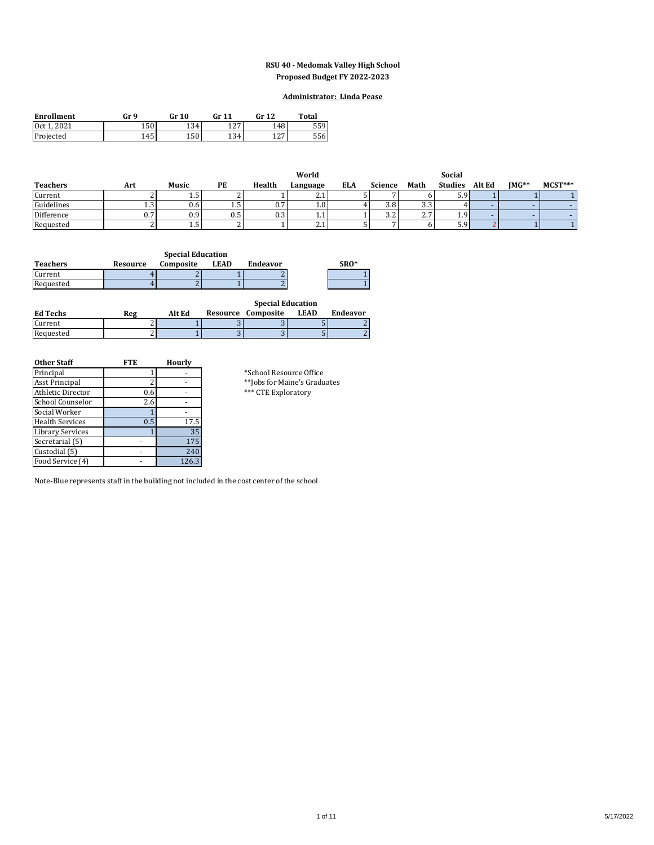### **RSU 40 - Medomak Valley High School Proposed Budget FY 2022-2023**

### **Administrator: Linda Pease**

| <b>Enrollment</b>         | Gr 9 | Gr 10 | Cr 11      | Gr 12       | <b>Total</b> |
|---------------------------|------|-------|------------|-------------|--------------|
| 2021<br>10ct <sup>1</sup> | 150  | 134   | 127        | 148         | ا 559        |
| Projected                 | 145  | 150.  | 134<br>⊥J⊤ | 127<br>14 I | 5561         |

|                 |     |       |      |        | World            |            |                      |      | Social         |        |         |           |
|-----------------|-----|-------|------|--------|------------------|------------|----------------------|------|----------------|--------|---------|-----------|
| <b>Teachers</b> | Art | Music | РE   | Health | Language         | <b>ELA</b> | <b>Science</b>       | Math | <b>Studies</b> | Alt Ed | $IMG**$ | $MCST***$ |
| Current         |     | ل.1   |      |        | <u>.</u>         |            |                      |      | ر.ر            |        |         |           |
| Guidelines      | 1.3 | 0.6   | ر. د | υ.,    | 1.0 <sup>1</sup> |            | 3.8                  | 3.3  |                |        |         |           |
| Difference      |     | 0.9   | U.G  | U.S    | <b>1.1</b>       |            | $\sim$ $\sim$<br>ے.د | 2.7  |                |        |         |           |
| Requested       |     | ں 1   |      |        | 4.1              |            |                      |      | رير            |        |         |           |

| <b>Special Education</b> |          |           |      |          |  |      |  |  |  |
|--------------------------|----------|-----------|------|----------|--|------|--|--|--|
| <b>Teachers</b>          | Resource | Composite | LEAD | Endeavor |  | SRO* |  |  |  |
| Current                  |          |           |      |          |  |      |  |  |  |
| Requested                |          |           |      |          |  |      |  |  |  |

|                 |     |        | <b>Special Education</b> |                    |             |          |  |  |  |
|-----------------|-----|--------|--------------------------|--------------------|-------------|----------|--|--|--|
| <b>Ed Techs</b> | Reg | Alt Ed |                          | Resource Composite | <b>LEAD</b> | Endeavor |  |  |  |
| Current         |     |        |                          |                    |             |          |  |  |  |
| Requested       |     |        |                          |                    |             |          |  |  |  |

| <b>Other Staff</b>     | <b>FTE</b> | Hourly |                               |
|------------------------|------------|--------|-------------------------------|
| Principal              |            |        | *School Resource Office       |
| Asst Principal         |            |        | ** Jobs for Maine's Graduates |
| Athletic Director      | 0.6        |        | *** CTE Exploratory           |
| School Counselor       | 2.6        |        |                               |
| Social Worker          |            |        |                               |
| <b>Health Services</b> | 0.5        | 17.5   |                               |
| Library Services       |            | 35     |                               |
| Secretarial (5)        |            | 175    |                               |
| Custodial (5)          |            | 240    |                               |
| Food Service (4)       |            | 126.3  |                               |

Note-Blue represents staff in the building not included in the cost center of the school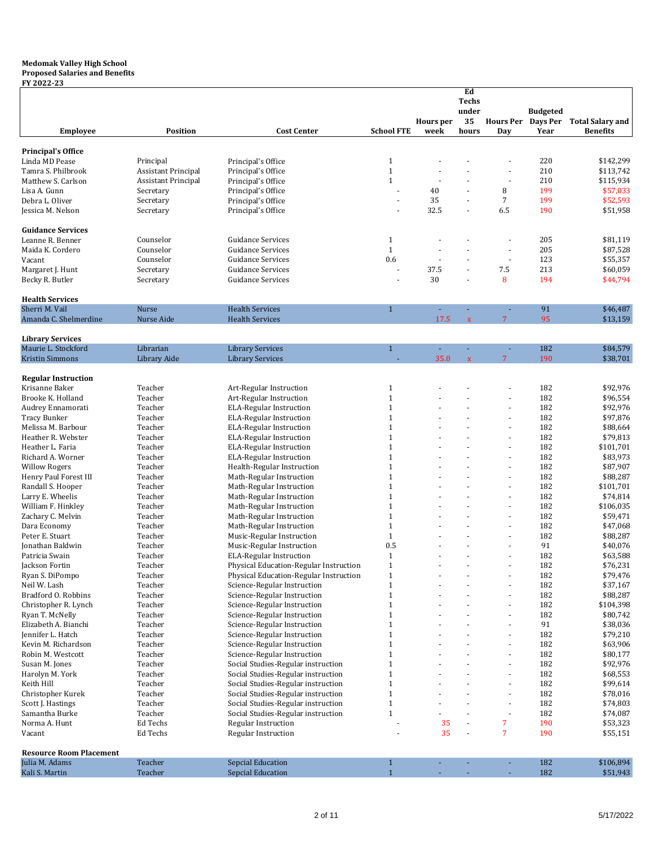#### **Medomak Valley High School Proposed Salaries and Benefits**

### **FY 2022-23**

|                                                |                            |                                                                          |                              |                          | Ed<br><b>Techs</b><br>under |                          | <b>Budgeted</b>         |                                            |
|------------------------------------------------|----------------------------|--------------------------------------------------------------------------|------------------------------|--------------------------|-----------------------------|--------------------------|-------------------------|--------------------------------------------|
| <b>Employee</b>                                | <b>Position</b>            | <b>Cost Center</b>                                                       | <b>School FTE</b>            | <b>Hours</b> per<br>week | 35<br>hours                 | <b>Hours Per</b><br>Day  | <b>Days Per</b><br>Year | <b>Total Salary and</b><br><b>Benefits</b> |
| <b>Principal's Office</b>                      |                            |                                                                          |                              |                          |                             |                          |                         |                                            |
| Linda MD Pease                                 | Principal                  | Principal's Office                                                       | $\mathbf{1}$                 |                          |                             |                          | 220                     | \$142,299                                  |
| Tamra S. Philbrook                             | <b>Assistant Principal</b> | Principal's Office                                                       | $\mathbf{1}$                 | ä,                       |                             | ÷,                       | 210                     | \$113,742                                  |
| Matthew S. Carlson                             | <b>Assistant Principal</b> | Principal's Office                                                       | $\mathbf{1}$                 |                          |                             |                          | 210                     | \$115,934                                  |
| Lisa A. Gunn                                   | Secretary                  | Principal's Office                                                       | L.                           | 40                       | ÷                           | 8                        | 199                     | \$57,033                                   |
| Debra L. Oliver                                | Secretary                  | Principal's Office                                                       |                              | 35                       |                             | $\sqrt{7}$               | 199                     | \$52,593                                   |
| Jessica M. Nelson                              | Secretary                  | Principal's Office                                                       | $\overline{a}$               | 32.5                     | ÷.                          | 6.5                      | 190                     | \$51,958                                   |
| <b>Guidance Services</b>                       |                            |                                                                          |                              |                          |                             |                          |                         |                                            |
| Leanne R. Benner                               | Counselor                  | <b>Guidance Services</b>                                                 | $\mathbf{1}$                 |                          |                             |                          | 205                     | \$81,119                                   |
| Maida K. Cordero                               | Counselor                  | <b>Guidance Services</b>                                                 | $\mathbf{1}$                 |                          |                             | ä,                       | 205                     | \$87,528                                   |
| Vacant                                         | Counselor                  | <b>Guidance Services</b>                                                 | 0.6                          | ä,                       |                             | ÷,                       | 123                     | \$55,357                                   |
| Margaret J. Hunt                               | Secretary<br>Secretary     | <b>Guidance Services</b><br><b>Guidance Services</b>                     | ٠                            | 37.5<br>30               |                             | 7.5<br>8                 | 213<br>194              | \$60,059<br>\$44,794                       |
| Becky R. Butler                                |                            |                                                                          |                              |                          |                             |                          |                         |                                            |
| <b>Health Services</b><br>Sherri M. Vail       | Nurse                      | <b>Health Services</b>                                                   | $\mathbf{1}$                 | ä,                       |                             |                          | 91                      | \$46,487                                   |
| Amanda C. Shelmerdine                          | Nurse Aide                 | <b>Health Services</b>                                                   |                              | 17.5                     | $\bar{\mathbf{x}}$          | $\overline{7}$           | 95                      | \$13,159                                   |
|                                                |                            |                                                                          |                              |                          |                             |                          |                         |                                            |
| <b>Library Services</b><br>Maurie L. Stockford | Librarian                  | <b>Library Services</b>                                                  | $\mathbf{1}$                 | ä,                       |                             | ä,                       | 182                     | \$84,579                                   |
| <b>Kristin Simmons</b>                         | Library Aide               | <b>Library Services</b>                                                  |                              | 35.0                     | $\bar{x}$                   | $\overline{7}$           | 190                     | \$38,701                                   |
|                                                |                            |                                                                          |                              |                          |                             |                          |                         |                                            |
| <b>Regular Instruction</b>                     |                            |                                                                          |                              |                          |                             |                          |                         |                                            |
| Krisanne Baker                                 | Teacher                    | Art-Regular Instruction                                                  | $\mathbf{1}$                 |                          |                             |                          | 182                     | \$92,976                                   |
| Brooke K. Holland                              | Teacher                    | Art-Regular Instruction                                                  | $\mathbf{1}$                 |                          |                             | $\overline{a}$           | 182                     | \$96,554                                   |
| Audrey Ennamorati                              | Teacher                    | <b>ELA-Regular Instruction</b>                                           | $\mathbf{1}$                 |                          |                             | ÷,                       | 182                     | \$92,976                                   |
| <b>Tracy Bunker</b>                            | Teacher                    | <b>ELA-Regular Instruction</b>                                           | $\mathbf{1}$                 |                          |                             | ä,                       | 182                     | \$97,876                                   |
| Melissa M. Barbour                             | Teacher                    | <b>ELA-Regular Instruction</b>                                           | $\mathbf{1}$<br>$\mathbf{1}$ |                          |                             | ä,                       | 182<br>182              | \$88,664                                   |
| Heather R. Webster<br>Heather L. Faria         | Teacher<br>Teacher         | <b>ELA-Regular Instruction</b><br><b>ELA-Regular Instruction</b>         | $\mathbf{1}$                 |                          |                             | ä,                       | 182                     | \$79,813<br>\$101,701                      |
| Richard A. Worner                              | Teacher                    | <b>ELA-Regular Instruction</b>                                           | $\mathbf{1}$                 |                          |                             | ä,                       | 182                     | \$83,973                                   |
| <b>Willow Rogers</b>                           | Teacher                    | Health-Regular Instruction                                               | $\mathbf{1}$                 |                          |                             | $\blacksquare$           | 182                     | \$87,907                                   |
| Henry Paul Forest III                          | Teacher                    | Math-Regular Instruction                                                 | $\mathbf{1}$                 |                          |                             | ä,                       | 182                     | \$88,287                                   |
| Randall S. Hooper                              | Teacher                    | Math-Regular Instruction                                                 | $\mathbf{1}$                 |                          |                             | ä,                       | 182                     | \$101,701                                  |
| Larry E. Wheelis                               | Teacher                    | Math-Regular Instruction                                                 | $\mathbf{1}$                 |                          |                             | ä,                       | 182                     | \$74,814                                   |
| William F. Hinkley                             | Teacher                    | Math-Regular Instruction                                                 | $\mathbf{1}$                 |                          |                             | ä,                       | 182                     | \$106,035                                  |
| Zachary C. Melvin                              | Teacher                    | Math-Regular Instruction                                                 | $\mathbf{1}$                 | ÷.                       |                             | ×.                       | 182                     | \$59,471                                   |
| Dara Economy                                   | Teacher                    | Math-Regular Instruction                                                 | $\mathbf{1}$                 |                          |                             | ×.                       | 182                     | \$47,068                                   |
| Peter E. Stuart                                | Teacher                    | Music-Regular Instruction                                                | $\mathbf{1}$                 |                          |                             | ÷,                       | 182                     | \$88,287                                   |
| Jonathan Baldwin                               | Teacher                    | Music-Regular Instruction                                                | 0.5                          |                          |                             | ä,                       | 91                      | \$40,076                                   |
| Patricia Swain                                 | Teacher                    | <b>ELA-Regular Instruction</b>                                           | $\mathbf{1}$                 |                          |                             | ÷,                       | 182                     | \$63,588                                   |
| Jackson Fortin                                 | Teacher                    | Physical Education-Regular Instruction                                   | $1\,$                        |                          |                             |                          | 182                     | \$76,231                                   |
| Ryan S. DiPompo                                | Teacher                    | Physical Education-Regular Instruction                                   | $\mathbf{1}$                 |                          |                             | ÷,                       | 182                     | \$79,476                                   |
| Neil W. Lash                                   | Teacher                    | Science-Regular Instruction                                              | $\mathbf{1}$                 |                          |                             |                          | 182                     | \$37,167                                   |
| Bradford O. Robbins                            | Teacher                    | Science-Regular Instruction                                              | $\mathbf{1}$                 |                          |                             | ÷,                       | 182                     | \$88,287                                   |
| Christopher R. Lynch                           | Teacher                    | Science-Regular Instruction                                              | $1\,$                        |                          |                             |                          | 182                     | \$104,398                                  |
| Ryan T. McNelly                                | Teacher                    | Science-Regular Instruction                                              | $\mathbf{1}$                 |                          |                             | ä,                       | 182                     | \$80,742                                   |
| Elizabeth A. Bianchi                           | Teacher                    | Science-Regular Instruction                                              | $1\,$                        |                          |                             | ä,                       | 91                      | \$38,036                                   |
| Jennifer L. Hatch                              | Teacher                    | Science-Regular Instruction                                              | $\mathbf{1}$                 |                          |                             | ×.                       | 182                     | \$79,210                                   |
| Kevin M. Richardson                            | Teacher                    | Science-Regular Instruction                                              | $\mathbf{1}$                 |                          |                             | $\overline{\phantom{a}}$ | 182                     | \$63,906                                   |
| Robin M. Westcott                              | Teacher                    | Science-Regular Instruction                                              | $\mathbf{1}$<br>$\mathbf{1}$ |                          |                             | ä,<br>÷,                 | 182                     | \$80,177                                   |
| Susan M. Jones<br>Harolyn M. York              | Teacher<br>Teacher         | Social Studies-Regular instruction<br>Social Studies-Regular instruction | $\mathbf{1}$                 |                          |                             |                          | 182<br>182              | \$92,976<br>\$68,553                       |
| Keith Hill                                     | Teacher                    | Social Studies-Regular instruction                                       | $\mathbf{1}$                 |                          |                             | ä,                       | 182                     | \$99,614                                   |
| Christopher Kurek                              | Teacher                    | Social Studies-Regular instruction                                       | $\mathbf{1}$                 |                          |                             | ä,                       | 182                     | \$78,016                                   |
| Scott J. Hastings                              | Teacher                    | Social Studies-Regular instruction                                       | $1\,$                        |                          |                             | $\blacksquare$           | 182                     | \$74,803                                   |
| Samantha Burke                                 | Teacher                    | Social Studies-Regular instruction                                       | $\mathbf{1}$                 |                          |                             | ÷,                       | 182                     | \$74,087                                   |
| Norma A. Hunt                                  | Ed Techs                   | Regular Instruction                                                      |                              | 35                       |                             | 7                        | 190                     | \$53,323                                   |
| Vacant                                         | Ed Techs                   | Regular Instruction                                                      |                              | 35                       |                             | $\overline{7}$           | 190                     | \$55,151                                   |
| <b>Resource Room Placement</b>                 |                            |                                                                          |                              |                          |                             |                          |                         |                                            |
| Julia M. Adams                                 | Teacher                    | Sepcial Education                                                        | $\mathbf{1}$                 | ä,                       |                             | ÷                        | 182                     | \$106,894                                  |
| Kali S. Martin                                 | Teacher                    | Sepcial Education                                                        | $\mathbf{1}$                 |                          |                             |                          | 182                     | \$51,943                                   |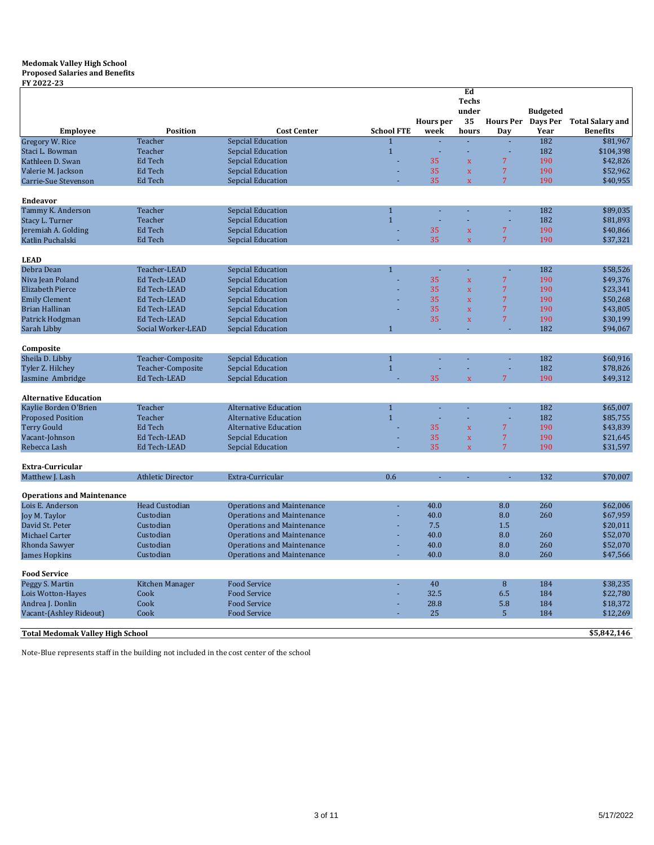#### **Medomak Valley High School Proposed Salaries and Benefits**

**FY 2022-23**

| FY 2022-23<br><b>Employee</b>                         | <b>Position</b>          | <b>Cost Center</b>                            | <b>School FTE</b> | <b>Hours</b> per<br>week | Ed<br><b>Techs</b><br>under<br>35<br>hours | <b>Hours Per</b><br>Day | <b>Budgeted</b><br>Days Per<br>Year | <b>Total Salary and</b><br><b>Benefits</b> |
|-------------------------------------------------------|--------------------------|-----------------------------------------------|-------------------|--------------------------|--------------------------------------------|-------------------------|-------------------------------------|--------------------------------------------|
| Gregory W. Rice                                       | Teacher                  | <b>Sepcial Education</b>                      |                   |                          |                                            |                         | 182                                 | \$81,967                                   |
| Staci L. Bowman                                       | Teacher                  | Sepcial Education                             | $\mathbf{1}$      |                          |                                            |                         | 182                                 | \$104,398                                  |
| Kathleen D. Swan                                      | Ed Tech                  | Sepcial Education                             |                   | 35                       | $\mathbf{x}$                               | $\overline{7}$          | 190                                 | \$42,826                                   |
| Valerie M. Jackson                                    | Ed Tech                  | Sepcial Education                             |                   | 35                       | $\mathbf x$                                | $\overline{7}$          | 190                                 | \$52,962                                   |
| Carrie-Sue Stevenson                                  | Ed Tech                  | Sepcial Education                             |                   | 35                       | $\mathbf{x}$                               | $7\overline{ }$         | 190                                 | \$40,955                                   |
|                                                       |                          |                                               |                   |                          |                                            |                         |                                     |                                            |
| <b>Endeavor</b>                                       |                          |                                               |                   |                          |                                            |                         |                                     |                                            |
| Tammy K. Anderson                                     | Teacher                  | Sepcial Education                             | $\mathbf{1}$      |                          |                                            |                         | 182                                 | \$89,035                                   |
| Stacy L. Turner                                       | Teacher                  | Sepcial Education                             | $\mathbf{1}$      |                          |                                            |                         | 182                                 | \$81,893                                   |
| Jeremiah A. Golding                                   | Ed Tech                  | Sepcial Education                             |                   | 35                       | $\bar{\mathbf{x}}$                         | 7                       | 190                                 | \$40,866                                   |
| Katlin Puchalski                                      | Ed Tech                  | Sepcial Education                             |                   | 35                       | $\bar{\mathbf{x}}$                         | $\overline{7}$          | 190                                 | \$37,321                                   |
| <b>LEAD</b>                                           |                          |                                               |                   |                          |                                            |                         |                                     |                                            |
| Debra Dean                                            | Teacher-LEAD             | Sepcial Education                             | $\mathbf{1}$      |                          |                                            |                         | 182                                 | \$58,526                                   |
| Niva Jean Poland                                      | Ed Tech-LEAD             | Sepcial Education                             |                   | 35                       | $\mathbf x$                                | $\sqrt{7}$              | 190                                 | \$49,376                                   |
| <b>Elizabeth Pierce</b>                               | Ed Tech-LEAD             | Sepcial Education                             |                   | 35                       | $\bar{\mathbf{x}}$                         | $\overline{7}$          | 190                                 | \$23,341                                   |
| <b>Emily Clement</b>                                  | <b>Ed Tech-LEAD</b>      | <b>Sepcial Education</b>                      |                   | 35                       | $\mathbf{x}$                               | $\overline{7}$          | 190                                 | \$50,268                                   |
| <b>Brian Hallinan</b>                                 | Ed Tech-LEAD             | Sepcial Education                             |                   | 35                       | $\mathbf x$                                | $\overline{7}$          | 190                                 | \$43,805                                   |
| Patrick Hodgman                                       | Ed Tech-LEAD             | <b>Sepcial Education</b>                      |                   | 35                       | $\mathbf x$                                | $\overline{7}$          | 190                                 | \$30,199                                   |
| Sarah Libby                                           | Social Worker-LEAD       | Sepcial Education                             | $\mathbf{1}$      |                          |                                            |                         | 182                                 | \$94,067                                   |
|                                                       |                          |                                               |                   |                          |                                            |                         |                                     |                                            |
| Composite<br>Sheila D. Libby                          |                          |                                               | $\mathbf{1}$      |                          |                                            |                         | 182                                 |                                            |
|                                                       | Teacher-Composite        | Sepcial Education<br><b>Sepcial Education</b> | $\mathbf{1}$      |                          |                                            |                         | 182                                 | \$60,916                                   |
| Tyler Z. Hilchey<br>Jasmine Ambridge                  | Teacher-Composite        |                                               |                   | 35                       | $\overline{\mathbf{x}}$                    | 7                       | 190                                 | \$78,826<br>\$49,312                       |
|                                                       | Ed Tech-LEAD             | Sepcial Education                             |                   |                          |                                            |                         |                                     |                                            |
| <b>Alternative Education</b>                          |                          |                                               |                   |                          |                                            |                         |                                     |                                            |
| Kaylie Borden O'Brien                                 | Teacher                  | <b>Alternative Education</b>                  | $\mathbf{1}$      | ÷.                       |                                            |                         | 182                                 | \$65,007                                   |
| <b>Proposed Position</b>                              | Teacher                  | <b>Alternative Education</b>                  | $\mathbf{1}$      |                          |                                            |                         | 182                                 | \$85,755                                   |
| <b>Terry Gould</b>                                    | Ed Tech                  | <b>Alternative Education</b>                  |                   | 35                       | $\mathbf x$                                | $\overline{7}$          | 190                                 | \$43,839                                   |
| Vacant-Johnson                                        | Ed Tech-LEAD             | Sepcial Education                             |                   | 35                       | $\mathbf x$                                | $\sqrt{7}$              | 190                                 | \$21,645                                   |
| Rebecca Lash                                          | Ed Tech-LEAD             | Sepcial Education                             |                   | 35                       | $\bar{\mathbf{x}}$                         | 7                       | 190                                 | \$31,597                                   |
| Extra-Curricular                                      |                          |                                               |                   |                          |                                            |                         |                                     |                                            |
| Matthew J. Lash                                       | <b>Athletic Director</b> | Extra-Curricular                              | 0.6               |                          |                                            |                         | 132                                 | \$70,007                                   |
|                                                       |                          |                                               |                   |                          |                                            |                         |                                     |                                            |
| <b>Operations and Maintenance</b><br>Lois E. Anderson | <b>Head Custodian</b>    | <b>Operations and Maintenance</b>             |                   | 40.0                     |                                            | 8.0                     | 260                                 | \$62,006                                   |
|                                                       | Custodian                | <b>Operations and Maintenance</b>             |                   | 40.0                     |                                            | 8.0                     | 260                                 | \$67,959                                   |
| Joy M. Taylor<br>David St. Peter                      | Custodian                | <b>Operations and Maintenance</b>             |                   | 7.5                      |                                            | 1.5                     |                                     | \$20,011                                   |
| Michael Carter                                        | Custodian                | <b>Operations and Maintenance</b>             |                   | 40.0                     |                                            | 8.0                     |                                     |                                            |
| Rhonda Sawyer                                         | Custodian                | <b>Operations and Maintenance</b>             |                   | 40.0                     |                                            | 8.0                     | 260<br>260                          | \$52,070<br>\$52,070                       |
| <b>James Hopkins</b>                                  | Custodian                |                                               |                   | 40.0                     |                                            | 8.0                     | 260                                 |                                            |
|                                                       |                          | Operations and Maintenance                    |                   |                          |                                            |                         |                                     | \$47,566                                   |
| <b>Food Service</b>                                   |                          |                                               |                   |                          |                                            |                         |                                     |                                            |
| Peggy S. Martin                                       | Kitchen Manager          | <b>Food Service</b>                           |                   | 40                       |                                            | 8                       | 184                                 | \$38,235                                   |
| Lois Wotton-Hayes                                     | Cook                     | <b>Food Service</b>                           |                   | 32.5                     |                                            | 6.5                     | 184                                 | \$22,780                                   |
| Andrea J. Donlin                                      | Cook                     | <b>Food Service</b>                           |                   | 28.8                     |                                            | 5.8                     | 184                                 | \$18,372                                   |
| Vacant-(Ashley Rideout)                               | Cook                     | <b>Food Service</b>                           |                   | 25                       |                                            | 5 <sup>5</sup>          | 184                                 | \$12,269                                   |
| <b>Total Medomak Valley High School</b>               |                          |                                               |                   |                          |                                            |                         |                                     | \$5,842,146                                |
|                                                       |                          |                                               |                   |                          |                                            |                         |                                     |                                            |

Note-Blue represents staff in the building not included in the cost center of the school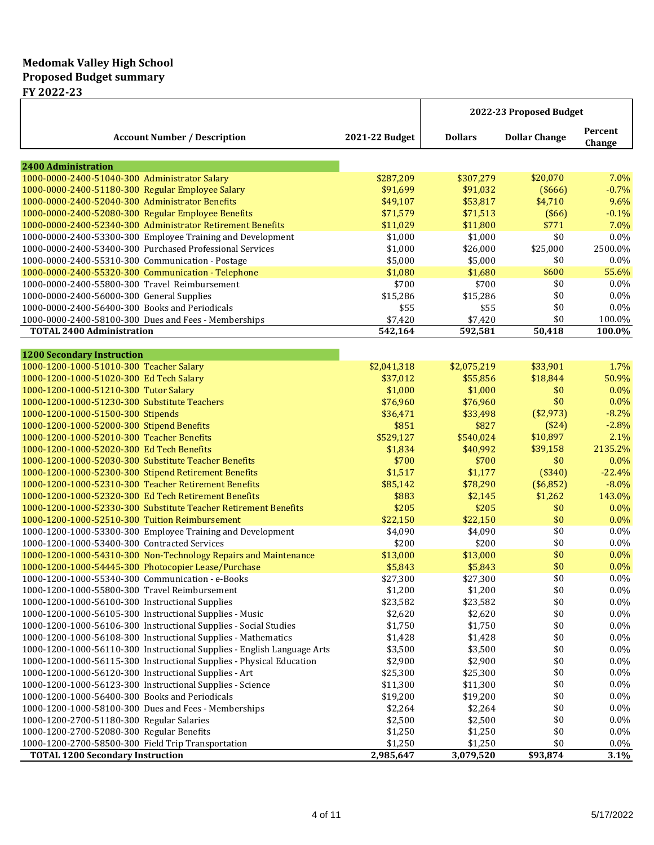# **Medomak Valley High School Proposed Budget summary**

**FY 2022-23**

|                                                                         |                |                | 2022-23 Proposed Budget |                   |
|-------------------------------------------------------------------------|----------------|----------------|-------------------------|-------------------|
| <b>Account Number / Description</b>                                     | 2021-22 Budget | <b>Dollars</b> | <b>Dollar Change</b>    | Percent<br>Change |
| <b>2400 Administration</b>                                              |                |                |                         |                   |
| 1000-0000-2400-51040-300 Administrator Salary                           | \$287,209      | \$307,279      | \$20,070                | 7.0%              |
| 1000-0000-2400-51180-300 Regular Employee Salary                        | \$91,699       | \$91,032       | (\$666)                 | $-0.7%$           |
| 1000-0000-2400-52040-300 Administrator Benefits                         | \$49,107       | \$53,817       | \$4,710                 | 9.6%              |
| 1000-0000-2400-52080-300 Regular Employee Benefits                      | \$71,579       | \$71,513       | (\$66)                  | $-0.1%$           |
| 1000-0000-2400-52340-300 Administrator Retirement Benefits              | \$11,029       | \$11,800       | \$771                   | 7.0%              |
| 1000-0000-2400-53300-300 Employee Training and Development              | \$1,000        | \$1,000        | \$0                     | 0.0%              |
| 1000-0000-2400-53400-300 Purchased Professional Services                | \$1,000        | \$26,000       | \$25,000                | 2500.0%           |
| 1000-0000-2400-55310-300 Communication - Postage                        | \$5,000        | \$5,000        | \$0                     | 0.0%              |
| 1000-0000-2400-55320-300 Communication - Telephone                      | \$1,080        | \$1,680        | \$600                   | 55.6%             |
| 1000-0000-2400-55800-300 Travel Reimbursement                           | \$700          | \$700          | \$0                     | 0.0%              |
| 1000-0000-2400-56000-300 General Supplies                               | \$15,286       | \$15,286       | \$0                     | 0.0%              |
| 1000-0000-2400-56400-300 Books and Periodicals                          | \$55           | \$55           | \$0                     | $0.0\%$           |
| 1000-0000-2400-58100-300 Dues and Fees - Memberships                    | \$7,420        | \$7,420        | \$0                     | 100.0%            |
| <b>TOTAL 2400 Administration</b>                                        | 542,164        | 592,581        | 50,418                  | 100.0%            |
| <b>1200 Secondary Instruction</b>                                       |                |                |                         |                   |
| 1000-1200-1000-51010-300 Teacher Salary                                 | \$2,041,318    | \$2,075,219    | \$33,901                | 1.7%              |
| 1000-1200-1000-51020-300 Ed Tech Salary                                 | \$37,012       | \$55,856       | \$18,844                | 50.9%             |
| 1000-1200-1000-51210-300 Tutor Salary                                   | \$1,000        | \$1,000        | \$0                     | $0.0\%$           |
| 1000-1200-1000-51230-300 Substitute Teachers                            | \$76,960       | \$76,960       | \$0                     | 0.0%              |
| 1000-1200-1000-51500-300 Stipends                                       | \$36,471       | \$33,498       | (\$2,973)               | $-8.2%$           |
| 1000-1200-1000-52000-300 Stipend Benefits                               | \$851          | \$827          | (\$24)                  | $-2.8%$           |
| 1000-1200-1000-52010-300 Teacher Benefits                               | \$529,127      | \$540,024      | \$10,897                | 2.1%              |
| 1000-1200-1000-52020-300 Ed Tech Benefits                               | \$1,834        | \$40,992       | \$39,158                | 2135.2%           |
| 1000-1200-1000-52030-300 Substitute Teacher Benefits                    | \$700          | \$700          | \$0                     | 0.0%              |
| 1000-1200-1000-52300-300 Stipend Retirement Benefits                    | \$1,517        | \$1,177        | (\$340)                 | $-22.4%$          |
| 1000-1200-1000-52310-300 Teacher Retirement Benefits                    | \$85,142       | \$78,290       | (\$6,852)               | $-8.0\%$          |
| 1000-1200-1000-52320-300 Ed Tech Retirement Benefits                    | \$883          | \$2,145        | \$1,262                 | 143.0%            |
| 1000-1200-1000-52330-300 Substitute Teacher Retirement Benefits         | \$205          | \$205          | \$0                     | 0.0%              |
| 1000-1200-1000-52510-300 Tuition Reimbursement                          | \$22,150       | \$22,150       | \$0                     | 0.0%              |
| 1000-1200-1000-53300-300 Employee Training and Development              | \$4,090        | \$4,090        | \$0                     | 0.0%              |
| 1000-1200-1000-53400-300 Contracted Services                            | \$200          | \$200          | \$0                     | 0.0%              |
| 1000-1200-1000-54310-300 Non-Technology Repairs and Maintenance         | \$13,000       | \$13,000       | \$0                     | 0.0%              |
| 1000-1200-1000-54445-300 Photocopier Lease/Purchase                     | \$5,843        | \$5,843        | \$0                     | 0.0%              |
| 1000-1200-1000-55340-300 Communication - e-Books                        | \$27,300       | \$27,300       | \$0                     | $0.0\%$           |
| 1000-1200-1000-55800-300 Travel Reimbursement                           | \$1,200        | \$1,200        | \$0                     | 0.0%              |
| 1000-1200-1000-56100-300 Instructional Supplies                         | \$23,582       | \$23,582       | \$0                     | 0.0%              |
| 1000-1200-1000-56105-300 Instructional Supplies - Music                 | \$2,620        | \$2,620        | \$0                     | $0.0\%$           |
| 1000-1200-1000-56106-300 Instructional Supplies - Social Studies        | \$1,750        | \$1,750        | \$0                     | 0.0%              |
| 1000-1200-1000-56108-300 Instructional Supplies - Mathematics           | \$1,428        | \$1,428        | \$0                     | 0.0%              |
| 1000-1200-1000-56110-300 Instructional Supplies - English Language Arts | \$3,500        | \$3,500        | \$0                     | 0.0%              |
| 1000-1200-1000-56115-300 Instructional Supplies - Physical Education    | \$2,900        | \$2,900        | \$0                     | 0.0%              |
| 1000-1200-1000-56120-300 Instructional Supplies - Art                   | \$25,300       | \$25,300       | \$0                     | 0.0%              |
| 1000-1200-1000-56123-300 Instructional Supplies - Science               | \$11,300       | \$11,300       | \$0                     | 0.0%              |
| 1000-1200-1000-56400-300 Books and Periodicals                          | \$19,200       | \$19,200       | \$0                     | 0.0%              |
| 1000-1200-1000-58100-300 Dues and Fees - Memberships                    | \$2,264        | \$2,264        | \$0                     | 0.0%              |
| 1000-1200-2700-51180-300 Regular Salaries                               | \$2,500        | \$2,500        | \$0                     | 0.0%              |
| 1000-1200-2700-52080-300 Regular Benefits                               | \$1,250        | \$1,250        | \$0                     | 0.0%              |
| 1000-1200-2700-58500-300 Field Trip Transportation                      | \$1,250        | \$1,250        | \$0                     | 0.0%              |
| <b>TOTAL 1200 Secondary Instruction</b>                                 | 2,985,647      | 3,079,520      | \$93,874                | 3.1%              |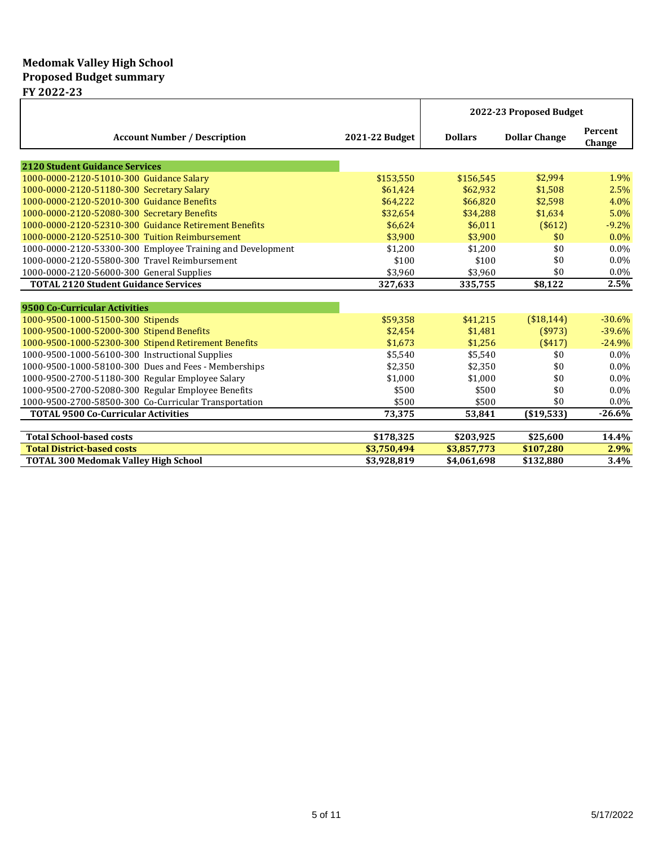# **Medomak Valley High School Proposed Budget summary**

**FY 2022-23**

|                                                            |                | 2022-23 Proposed Budget |                      |                   |
|------------------------------------------------------------|----------------|-------------------------|----------------------|-------------------|
| <b>Account Number / Description</b>                        | 2021-22 Budget | <b>Dollars</b>          | <b>Dollar Change</b> | Percent<br>Change |
| <b>2120 Student Guidance Services</b>                      |                |                         |                      |                   |
| 1000-0000-2120-51010-300 Guidance Salary                   | \$153,550      | \$156,545               | \$2,994              | 1.9%              |
| 1000-0000-2120-51180-300 Secretary Salary                  | \$61,424       | \$62,932                | \$1,508              | 2.5%              |
| 1000-0000-2120-52010-300 Guidance Benefits                 | \$64,222       | \$66,820                | \$2,598              | 4.0%              |
| 1000-0000-2120-52080-300 Secretary Benefits                | \$32,654       | \$34,288                | \$1,634              | 5.0%              |
| 1000-0000-2120-52310-300 Guidance Retirement Benefits      | \$6.624        | \$6.011                 | (\$612)              | $-9.2%$           |
| 1000-0000-2120-52510-300 Tuition Reimbursement             | \$3,900        | \$3.900                 | \$0                  | $0.0\%$           |
| 1000-0000-2120-53300-300 Employee Training and Development | \$1,200        | \$1,200                 | \$0                  | $0.0\%$           |
| 1000-0000-2120-55800-300 Travel Reimbursement              | \$100          | \$100                   | \$0                  | $0.0\%$           |
| 1000-0000-2120-56000-300 General Supplies                  | \$3,960        | \$3,960                 | \$0                  | $0.0\%$           |
| <b>TOTAL 2120 Student Guidance Services</b>                | 327,633        | 335,755                 | \$8,122              | 2.5%              |
|                                                            |                |                         |                      |                   |
| 9500 Co-Curricular Activities                              |                |                         |                      |                   |
| 1000-9500-1000-51500-300 Stipends                          | \$59,358       | \$41,215                | (\$18,144)           | $-30.6%$          |
| 1000-9500-1000-52000-300 Stipend Benefits                  | \$2,454        | \$1,481                 | $($ \$973)           | $-39.6%$          |
| 1000-9500-1000-52300-300 Stipend Retirement Benefits       | \$1,673        | \$1,256                 | ( \$417)             | $-24.9%$          |
| 1000-9500-1000-56100-300 Instructional Supplies            | \$5,540        | \$5,540                 | \$0                  | $0.0\%$           |
| 1000-9500-1000-58100-300 Dues and Fees - Memberships       | \$2,350        | \$2,350                 | \$0                  | $0.0\%$           |
| 1000-9500-2700-51180-300 Regular Employee Salary           | \$1.000        | \$1.000                 | \$0                  | $0.0\%$           |
| 1000-9500-2700-52080-300 Regular Employee Benefits         | \$500          | \$500                   | \$0                  | $0.0\%$           |
| 1000-9500-2700-58500-300 Co-Curricular Transportation      | \$500          | \$500                   | \$0                  | $0.0\%$           |
| <b>TOTAL 9500 Co-Curricular Activities</b>                 | 73,375         | 53,841                  | ( \$19,533)          | $-26.6%$          |
|                                                            |                |                         |                      |                   |
| <b>Total School-based costs</b>                            | \$178,325      | \$203,925               | \$25,600             | 14.4%             |
| <b>Total District-based costs</b>                          | \$3,750,494    | \$3,857,773             | \$107,280            | 2.9%              |
| <b>TOTAL 300 Medomak Valley High School</b>                | \$3,928,819    | \$4,061,698             | \$132,880            | 3.4%              |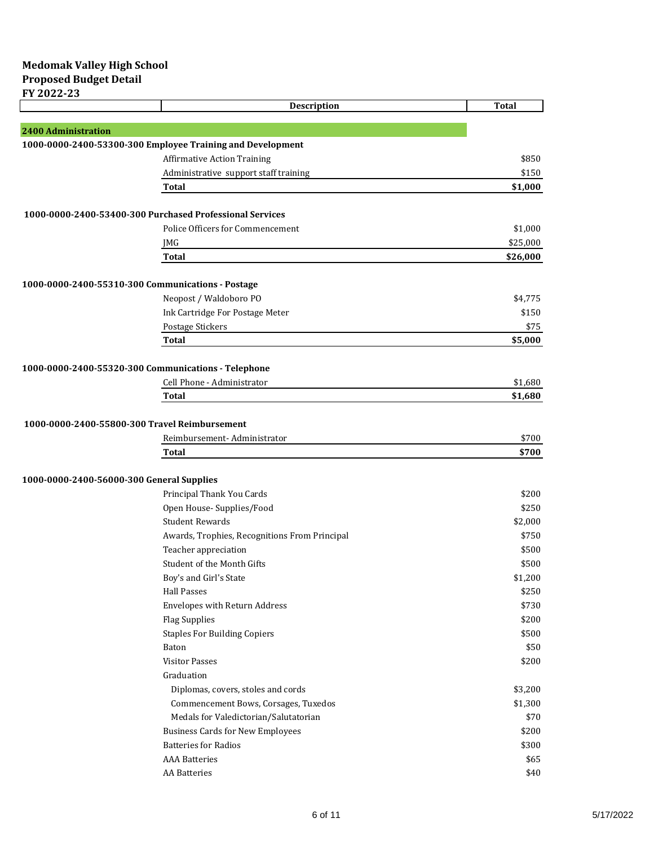|                                                          | Description                                                | <b>Total</b> |
|----------------------------------------------------------|------------------------------------------------------------|--------------|
|                                                          |                                                            |              |
| <b>2400 Administration</b>                               |                                                            |              |
|                                                          | 1000-0000-2400-53300-300 Employee Training and Development |              |
|                                                          | <b>Affirmative Action Training</b>                         | \$850        |
|                                                          | Administrative support staff training                      | \$150        |
|                                                          | <b>Total</b>                                               | \$1,000      |
| 1000-0000-2400-53400-300 Purchased Professional Services |                                                            |              |
|                                                          | Police Officers for Commencement                           | \$1,000      |
|                                                          | JMG                                                        | \$25,000     |
|                                                          | <b>Total</b>                                               | \$26,000     |
|                                                          |                                                            |              |
| 1000-0000-2400-55310-300 Communications - Postage        |                                                            |              |
|                                                          | Neopost / Waldoboro PO                                     | \$4,775      |
|                                                          | Ink Cartridge For Postage Meter                            | \$150        |
|                                                          | Postage Stickers                                           | \$75         |
|                                                          | <b>Total</b>                                               | \$5,000      |
|                                                          |                                                            |              |
| 1000-0000-2400-55320-300 Communications - Telephone      |                                                            |              |
|                                                          | Cell Phone - Administrator                                 | \$1,680      |
|                                                          | <b>Total</b>                                               | \$1,680      |
| 1000-0000-2400-55800-300 Travel Reimbursement            |                                                            |              |
|                                                          | Reimbursement-Administrator                                | \$700        |
|                                                          | Total                                                      | \$700        |
|                                                          |                                                            |              |
| 1000-0000-2400-56000-300 General Supplies                |                                                            |              |
|                                                          | Principal Thank You Cards                                  | \$200        |
|                                                          | Open House- Supplies/Food                                  | \$250        |
|                                                          | <b>Student Rewards</b>                                     | \$2,000      |
|                                                          | Awards, Trophies, Recognitions From Principal              | \$750        |
|                                                          | Teacher appreciation                                       | \$500        |
|                                                          | Student of the Month Gifts                                 | \$500        |
|                                                          | Boy's and Girl's State                                     | \$1,200      |
|                                                          | <b>Hall Passes</b>                                         | \$250        |
|                                                          | <b>Envelopes with Return Address</b>                       | \$730        |
|                                                          | <b>Flag Supplies</b>                                       | \$200        |
|                                                          | <b>Staples For Building Copiers</b>                        | \$500        |
|                                                          | Baton                                                      | \$50         |
|                                                          | <b>Visitor Passes</b>                                      | \$200        |
|                                                          | Graduation                                                 |              |
|                                                          | Diplomas, covers, stoles and cords                         | \$3,200      |
|                                                          | Commencement Bows, Corsages, Tuxedos                       | \$1,300      |
|                                                          | Medals for Valedictorian/Salutatorian                      | \$70         |
|                                                          | <b>Business Cards for New Employees</b>                    | \$200        |
|                                                          | <b>Batteries for Radios</b>                                | \$300        |
|                                                          | <b>AAA</b> Batteries                                       | \$65         |
|                                                          | <b>AA Batteries</b>                                        | \$40         |
|                                                          |                                                            |              |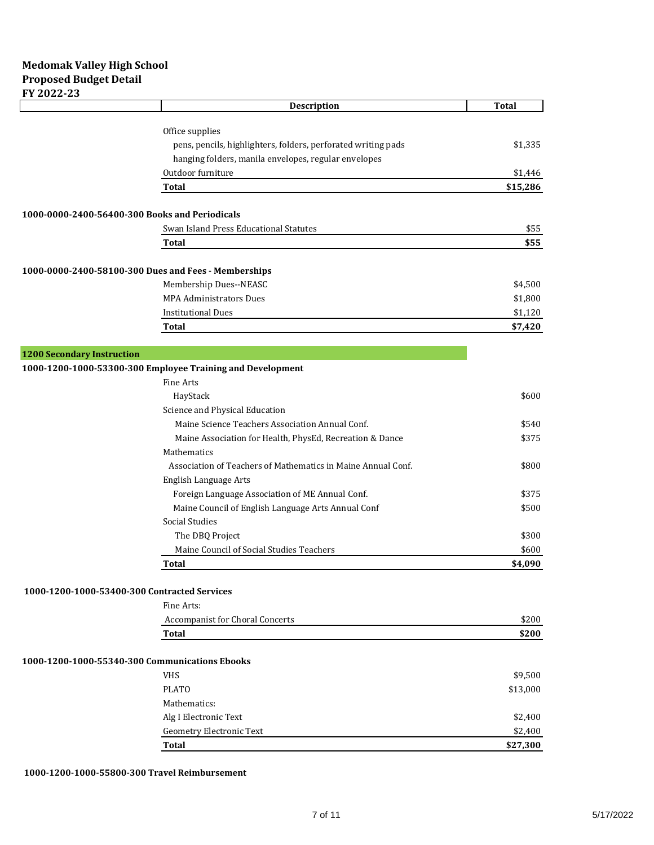|                                                      | Description                                                   | <b>Total</b> |
|------------------------------------------------------|---------------------------------------------------------------|--------------|
|                                                      |                                                               |              |
|                                                      | Office supplies                                               |              |
|                                                      | pens, pencils, highlighters, folders, perforated writing pads | \$1,335      |
|                                                      | hanging folders, manila envelopes, regular envelopes          |              |
|                                                      | Outdoor furniture                                             | \$1,446      |
|                                                      | <b>Total</b>                                                  | \$15,286     |
| 1000-0000-2400-56400-300 Books and Periodicals       |                                                               |              |
|                                                      | Swan Island Press Educational Statutes                        | \$55         |
|                                                      | <b>Total</b>                                                  | \$55         |
|                                                      |                                                               |              |
| 1000-0000-2400-58100-300 Dues and Fees - Memberships |                                                               |              |
|                                                      | Membership Dues--NEASC                                        | \$4,500      |
|                                                      | <b>MPA Administrators Dues</b>                                | \$1,800      |
|                                                      | <b>Institutional Dues</b>                                     | \$1,120      |
|                                                      | <b>Total</b>                                                  | \$7,420      |
|                                                      |                                                               |              |
| <b>1200 Secondary Instruction</b>                    |                                                               |              |
|                                                      | 1000-1200-1000-53300-300 Employee Training and Development    |              |
|                                                      | <b>Fine Arts</b>                                              |              |
|                                                      | HayStack                                                      | \$600        |
|                                                      | Science and Physical Education                                |              |
|                                                      | Maine Science Teachers Association Annual Conf.               | \$540        |
|                                                      | Maine Association for Health, PhysEd, Recreation & Dance      | \$375        |
|                                                      | Mathematics                                                   |              |
|                                                      | Association of Teachers of Mathematics in Maine Annual Conf.  | \$800        |
|                                                      | English Language Arts                                         |              |
|                                                      | Foreign Language Association of ME Annual Conf.               | \$375        |
|                                                      | Maine Council of English Language Arts Annual Conf            | \$500        |
|                                                      | Social Studies                                                |              |
|                                                      | The DBQ Project                                               | \$300        |
|                                                      | Maine Council of Social Studies Teachers                      | \$600        |
|                                                      | <b>Total</b>                                                  | \$4,090      |
| 1000-1200-1000-53400-300 Contracted Services         |                                                               |              |
|                                                      | Fine Arts:                                                    |              |
|                                                      | Accompanist for Choral Concerts                               | \$200        |
|                                                      | <b>Total</b>                                                  | \$200        |
|                                                      |                                                               |              |
| 1000-1200-1000-55340-300 Communications Ebooks       |                                                               |              |
|                                                      | <b>VHS</b>                                                    | \$9,500      |
|                                                      | <b>PLATO</b>                                                  | \$13,000     |
|                                                      | Mathematics:                                                  |              |
|                                                      | Alg I Electronic Text                                         | \$2,400      |
|                                                      | <b>Geometry Electronic Text</b>                               | \$2,400      |
|                                                      | <b>Total</b>                                                  | \$27,300     |
|                                                      |                                                               |              |

### **1000-1200-1000-55800-300 Travel Reimbursement**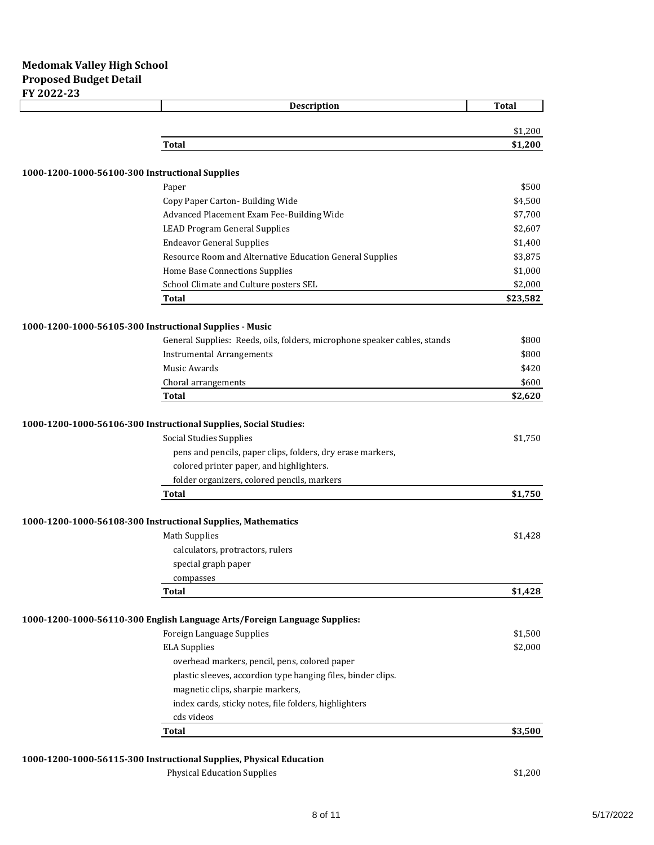| Description                                                               | <b>Total</b> |
|---------------------------------------------------------------------------|--------------|
|                                                                           | \$1,200      |
|                                                                           |              |
| Total                                                                     | \$1,200      |
| 1000-1200-1000-56100-300 Instructional Supplies                           |              |
| Paper                                                                     | \$500        |
| Copy Paper Carton- Building Wide                                          | \$4,500      |
| Advanced Placement Exam Fee-Building Wide                                 | \$7,700      |
| <b>LEAD Program General Supplies</b>                                      | \$2,607      |
| <b>Endeavor General Supplies</b>                                          | \$1,400      |
| Resource Room and Alternative Education General Supplies                  | \$3,875      |
| Home Base Connections Supplies                                            | \$1,000      |
| School Climate and Culture posters SEL                                    | \$2,000      |
| <b>Total</b>                                                              | \$23,582     |
| 1000-1200-1000-56105-300 Instructional Supplies - Music                   |              |
| General Supplies: Reeds, oils, folders, microphone speaker cables, stands | \$800        |
| <b>Instrumental Arrangements</b>                                          | \$800        |
| Music Awards                                                              | \$420        |
| Choral arrangements                                                       | \$600        |
| <b>Total</b>                                                              | \$2,620      |
|                                                                           |              |
| 1000-1200-1000-56106-300 Instructional Supplies, Social Studies:          |              |
| <b>Social Studies Supplies</b>                                            | \$1,750      |
| pens and pencils, paper clips, folders, dry erase markers,                |              |
| colored printer paper, and highlighters.                                  |              |
| folder organizers, colored pencils, markers                               |              |
| <b>Total</b>                                                              | \$1,750      |
| 1000-1200-1000-56108-300 Instructional Supplies, Mathematics              |              |
| <b>Math Supplies</b>                                                      | \$1,428      |
|                                                                           |              |
| calculators, protractors, rulers                                          |              |
| special graph paper                                                       |              |
| compasses<br>Total                                                        | \$1,428      |
|                                                                           |              |
| 1000-1200-1000-56110-300 English Language Arts/Foreign Language Supplies: |              |
| Foreign Language Supplies                                                 | \$1,500      |
| <b>ELA Supplies</b>                                                       | \$2,000      |
| overhead markers, pencil, pens, colored paper                             |              |
| plastic sleeves, accordion type hanging files, binder clips.              |              |
| magnetic clips, sharpie markers,                                          |              |
| index cards, sticky notes, file folders, highlighters                     |              |
| cds videos                                                                |              |
| <b>Total</b>                                                              | \$3,500      |

## **1000-1200-1000-56115-300 Instructional Supplies, Physical Education**

Physical Education Supplies  $$1,200$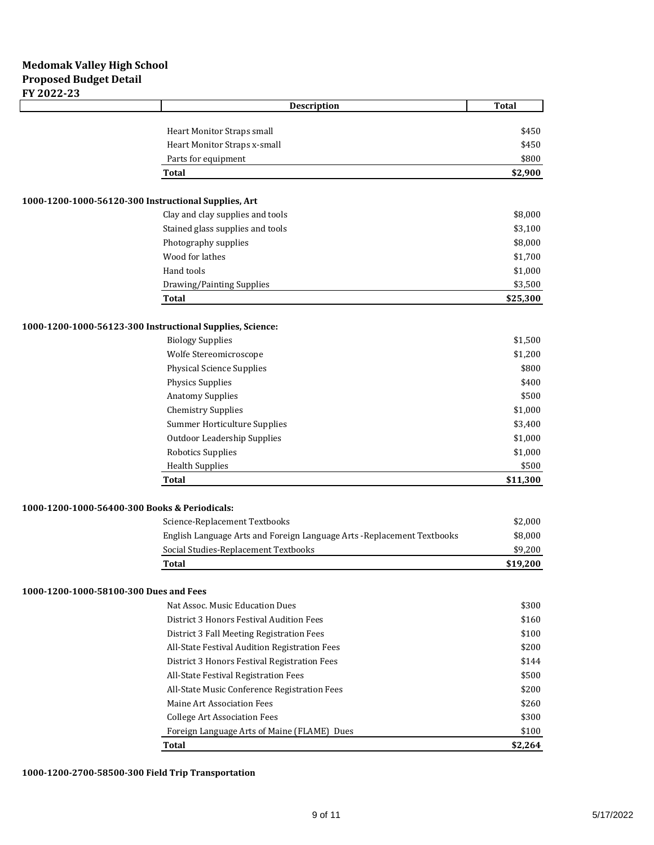|                                               | <b>Description</b>                                                      | <b>Total</b> |
|-----------------------------------------------|-------------------------------------------------------------------------|--------------|
|                                               |                                                                         |              |
|                                               | Heart Monitor Straps small                                              | \$450        |
|                                               | Heart Monitor Straps x-small                                            | \$450        |
|                                               | Parts for equipment                                                     | \$800        |
|                                               | Total                                                                   | \$2,900      |
|                                               | 1000-1200-1000-56120-300 Instructional Supplies, Art                    |              |
|                                               | Clay and clay supplies and tools                                        | \$8,000      |
|                                               | Stained glass supplies and tools                                        | \$3,100      |
|                                               | Photography supplies                                                    | \$8,000      |
|                                               | Wood for lathes                                                         | \$1,700      |
|                                               | Hand tools                                                              | \$1,000      |
|                                               | Drawing/Painting Supplies                                               | \$3,500      |
|                                               | <b>Total</b>                                                            | \$25,300     |
|                                               | 1000-1200-1000-56123-300 Instructional Supplies, Science:               |              |
|                                               | <b>Biology Supplies</b>                                                 | \$1,500      |
|                                               | Wolfe Stereomicroscope                                                  | \$1,200      |
|                                               | <b>Physical Science Supplies</b>                                        | \$800        |
|                                               | <b>Physics Supplies</b>                                                 | \$400        |
|                                               | <b>Anatomy Supplies</b>                                                 | \$500        |
|                                               | <b>Chemistry Supplies</b>                                               | \$1,000      |
|                                               | Summer Horticulture Supplies                                            | \$3,400      |
|                                               | <b>Outdoor Leadership Supplies</b>                                      | \$1,000      |
|                                               | <b>Robotics Supplies</b>                                                | \$1,000      |
|                                               | <b>Health Supplies</b>                                                  | \$500        |
|                                               | <b>Total</b>                                                            | \$11,300     |
|                                               |                                                                         |              |
| 1000-1200-1000-56400-300 Books & Periodicals: |                                                                         |              |
|                                               | Science-Replacement Textbooks                                           | \$2,000      |
|                                               | English Language Arts and Foreign Language Arts - Replacement Textbooks | \$8,000      |
|                                               | Social Studies-Replacement Textbooks                                    | \$9,200      |
|                                               | Total                                                                   | \$19,200     |
| 1000-1200-1000-58100-300 Dues and Fees        |                                                                         |              |
|                                               | Nat Assoc. Music Education Dues                                         | \$300        |
|                                               | District 3 Honors Festival Audition Fees                                | \$160        |
|                                               | District 3 Fall Meeting Registration Fees                               | \$100        |
|                                               | All-State Festival Audition Registration Fees                           | \$200        |
|                                               | District 3 Honors Festival Registration Fees                            | \$144        |
|                                               | All-State Festival Registration Fees                                    | \$500        |
|                                               | All-State Music Conference Registration Fees                            | \$200        |
|                                               | Maine Art Association Fees                                              | \$260        |
|                                               | <b>College Art Association Fees</b>                                     | \$300        |
|                                               | Foreign Language Arts of Maine (FLAME) Dues                             | \$100        |
|                                               | <b>Total</b>                                                            | \$2,264      |
|                                               |                                                                         |              |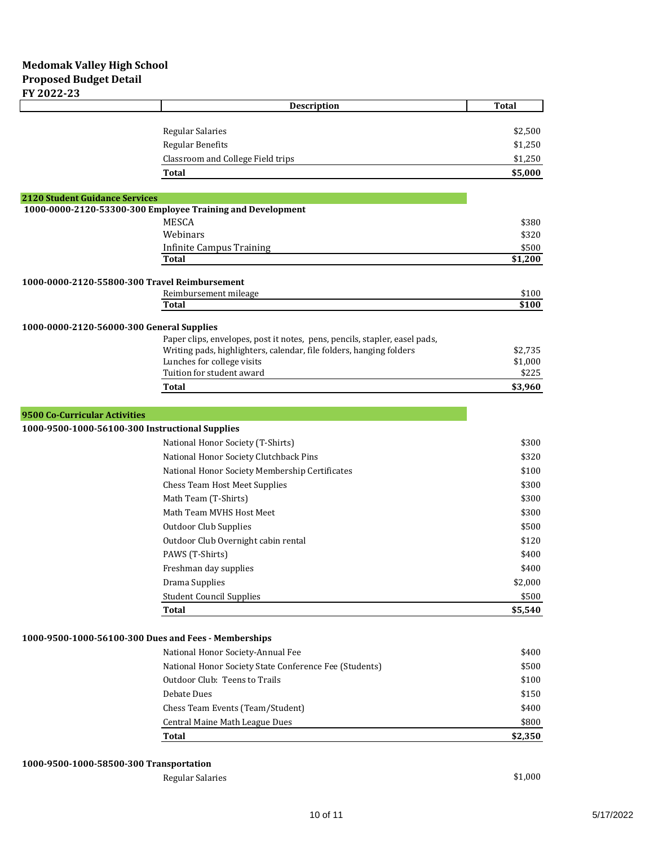|                                                      | Description                                                                | <b>Total</b>     |
|------------------------------------------------------|----------------------------------------------------------------------------|------------------|
|                                                      |                                                                            |                  |
|                                                      | <b>Regular Salaries</b>                                                    | \$2,500          |
|                                                      | <b>Regular Benefits</b>                                                    | \$1,250          |
|                                                      | Classroom and College Field trips                                          | \$1,250          |
|                                                      | Total                                                                      | \$5,000          |
| <b>2120 Student Guidance Services</b>                |                                                                            |                  |
|                                                      | 1000-0000-2120-53300-300 Employee Training and Development                 |                  |
|                                                      | <b>MESCA</b>                                                               | \$380            |
|                                                      | Webinars                                                                   | \$320            |
|                                                      | <b>Infinite Campus Training</b><br>Total                                   | \$500<br>\$1,200 |
|                                                      |                                                                            |                  |
| 1000-0000-2120-55800-300 Travel Reimbursement        |                                                                            |                  |
|                                                      | Reimbursement mileage                                                      | \$100            |
|                                                      | Total                                                                      | \$100            |
| 1000-0000-2120-56000-300 General Supplies            |                                                                            |                  |
|                                                      | Paper clips, envelopes, post it notes, pens, pencils, stapler, easel pads, |                  |
|                                                      | Writing pads, highlighters, calendar, file folders, hanging folders        | \$2.735          |
|                                                      | Lunches for college visits<br>Tuition for student award                    | \$1,000<br>\$225 |
|                                                      | Total                                                                      | \$3,960          |
|                                                      |                                                                            |                  |
| 9500 Co-Curricular Activities                        |                                                                            |                  |
| 1000-9500-1000-56100-300 Instructional Supplies      |                                                                            |                  |
|                                                      | National Honor Society (T-Shirts)                                          | \$300            |
|                                                      | National Honor Society Clutchback Pins                                     | \$320            |
|                                                      | National Honor Society Membership Certificates                             | \$100            |
|                                                      | <b>Chess Team Host Meet Supplies</b>                                       | \$300            |
|                                                      | Math Team (T-Shirts)                                                       | \$300            |
|                                                      | Math Team MVHS Host Meet                                                   | \$300            |
|                                                      | <b>Outdoor Club Supplies</b>                                               | \$500            |
|                                                      | Outdoor Club Overnight cabin rental                                        | \$120            |
|                                                      | PAWS (T-Shirts)                                                            | \$400            |
|                                                      | Freshman day supplies                                                      | \$400            |
|                                                      | Drama Supplies                                                             | \$2,000          |
|                                                      | <b>Student Council Supplies</b>                                            | \$500            |
|                                                      | <b>Total</b>                                                               | \$5,540          |
|                                                      |                                                                            |                  |
| 1000-9500-1000-56100-300 Dues and Fees - Memberships |                                                                            |                  |
|                                                      | National Honor Society-Annual Fee                                          | \$400            |
|                                                      | National Honor Society State Conference Fee (Students)                     | \$500            |
|                                                      | Outdoor Club: Teens to Trails                                              | \$100            |
|                                                      | Debate Dues                                                                | \$150            |
|                                                      | Chess Team Events (Team/Student)                                           | \$400            |
|                                                      | Central Maine Math League Dues                                             | \$800            |
|                                                      | <b>Total</b>                                                               | \$2,350          |

## **1000-9500-1000-58500-300 Transportation**

Regular Salaries  $$1,000$